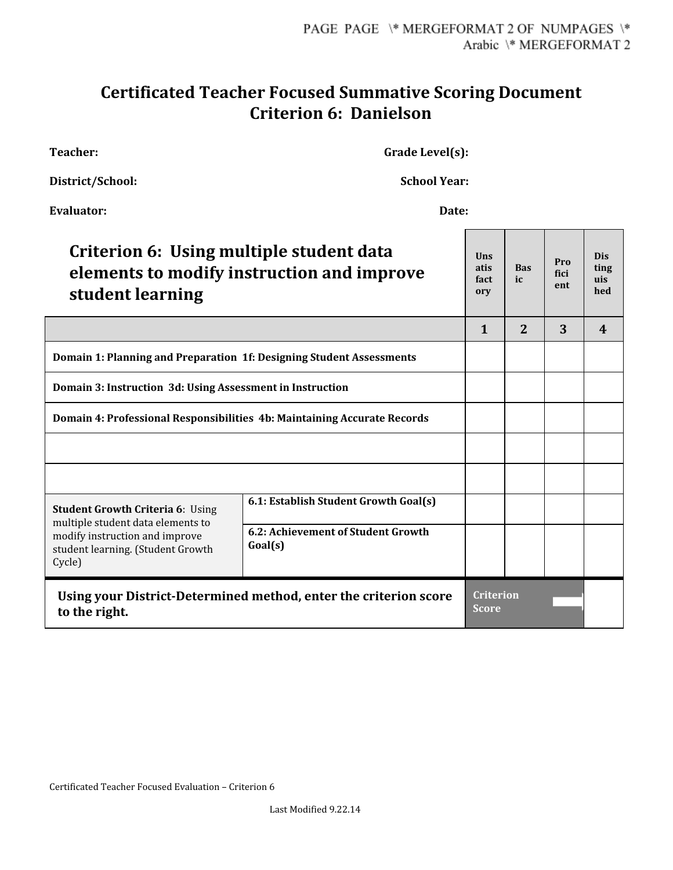## **Certificated Teacher Focused Summative Scoring Document Criterion 6: Danielson**

**Teacher: Grade Level(s):**

| <b>School Year:</b><br>District/School:                                                                                                                       |                                               |                                  |                   |                    |                                  |
|---------------------------------------------------------------------------------------------------------------------------------------------------------------|-----------------------------------------------|----------------------------------|-------------------|--------------------|----------------------------------|
| <b>Evaluator:</b><br>Date:                                                                                                                                    |                                               |                                  |                   |                    |                                  |
| Criterion 6: Using multiple student data<br>elements to modify instruction and improve<br>student learning                                                    |                                               | Uns<br>atis<br>fact<br>ory       | <b>Bas</b><br>ic. | Pro<br>fici<br>ent | <b>Dis</b><br>ting<br>uis<br>hed |
|                                                                                                                                                               |                                               | $\mathbf{1}$                     | $\overline{2}$    | 3                  | $\boldsymbol{\mathcal{A}}$       |
| Domain 1: Planning and Preparation 1f: Designing Student Assessments                                                                                          |                                               |                                  |                   |                    |                                  |
| Domain 3: Instruction 3d: Using Assessment in Instruction                                                                                                     |                                               |                                  |                   |                    |                                  |
| Domain 4: Professional Responsibilities 4b: Maintaining Accurate Records                                                                                      |                                               |                                  |                   |                    |                                  |
|                                                                                                                                                               |                                               |                                  |                   |                    |                                  |
|                                                                                                                                                               |                                               |                                  |                   |                    |                                  |
| <b>Student Growth Criteria 6: Using</b><br>multiple student data elements to<br>modify instruction and improve<br>student learning. (Student Growth<br>Cycle) | 6.1: Establish Student Growth Goal(s)         |                                  |                   |                    |                                  |
|                                                                                                                                                               | 6.2: Achievement of Student Growth<br>Goal(s) |                                  |                   |                    |                                  |
| Using your District-Determined method, enter the criterion score<br>to the right.                                                                             |                                               | <b>Criterion</b><br><b>Score</b> |                   |                    |                                  |